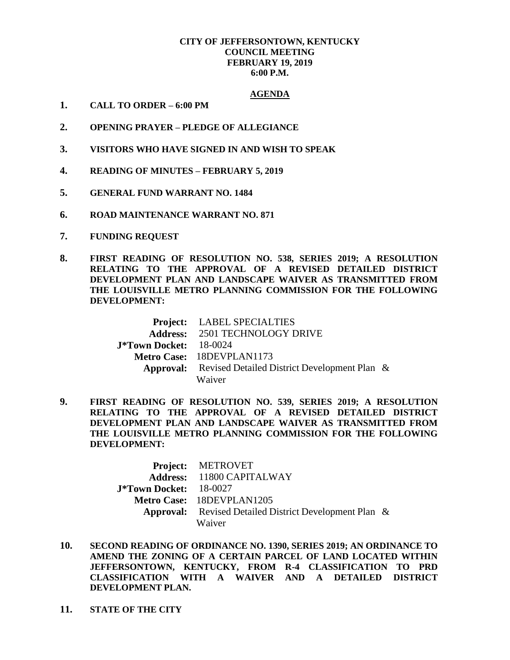## **CITY OF JEFFERSONTOWN, KENTUCKY COUNCIL MEETING FEBRUARY 19, 2019 6:00 P.M.**

## **AGENDA**

- **1. CALL TO ORDER – 6:00 PM**
- **2. OPENING PRAYER – PLEDGE OF ALLEGIANCE**
- **3. VISITORS WHO HAVE SIGNED IN AND WISH TO SPEAK**
- **4. READING OF MINUTES – FEBRUARY 5, 2019**
- **5. GENERAL FUND WARRANT NO. 1484**
- **6. ROAD MAINTENANCE WARRANT NO. 871**
- **7. FUNDING REQUEST**
- **8. FIRST READING OF RESOLUTION NO. 538, SERIES 2019; A RESOLUTION RELATING TO THE APPROVAL OF A REVISED DETAILED DISTRICT DEVELOPMENT PLAN AND LANDSCAPE WAIVER AS TRANSMITTED FROM THE LOUISVILLE METRO PLANNING COMMISSION FOR THE FOLLOWING DEVELOPMENT:**

|                               | Project: LABEL SPECIALTIES                                    |  |
|-------------------------------|---------------------------------------------------------------|--|
|                               | <b>Address: 2501 TECHNOLOGY DRIVE</b>                         |  |
| <b>J*Town Docket:</b> 18-0024 |                                                               |  |
|                               | Metro Case: 18DEVPLAN1173                                     |  |
|                               | <b>Approval:</b> Revised Detailed District Development Plan & |  |
|                               | Waiver                                                        |  |

**9. FIRST READING OF RESOLUTION NO. 539, SERIES 2019; A RESOLUTION RELATING TO THE APPROVAL OF A REVISED DETAILED DISTRICT DEVELOPMENT PLAN AND LANDSCAPE WAIVER AS TRANSMITTED FROM THE LOUISVILLE METRO PLANNING COMMISSION FOR THE FOLLOWING DEVELOPMENT:**

|                        | <b>Project: METROVET</b>                                      |  |
|------------------------|---------------------------------------------------------------|--|
|                        | Address: 11800 CAPITALWAY                                     |  |
| J*Town Docket: 18-0027 |                                                               |  |
|                        | Metro Case: 18DEVPLAN1205                                     |  |
|                        | <b>Approval:</b> Revised Detailed District Development Plan & |  |
|                        | Waiver                                                        |  |

- **10. SECOND READING OF ORDINANCE NO. 1390, SERIES 2019; AN ORDINANCE TO AMEND THE ZONING OF A CERTAIN PARCEL OF LAND LOCATED WITHIN JEFFERSONTOWN, KENTUCKY, FROM R-4 CLASSIFICATION TO PRD CLASSIFICATION WITH A WAIVER AND A DETAILED DISTRICT DEVELOPMENT PLAN.**
- **11. STATE OF THE CITY**